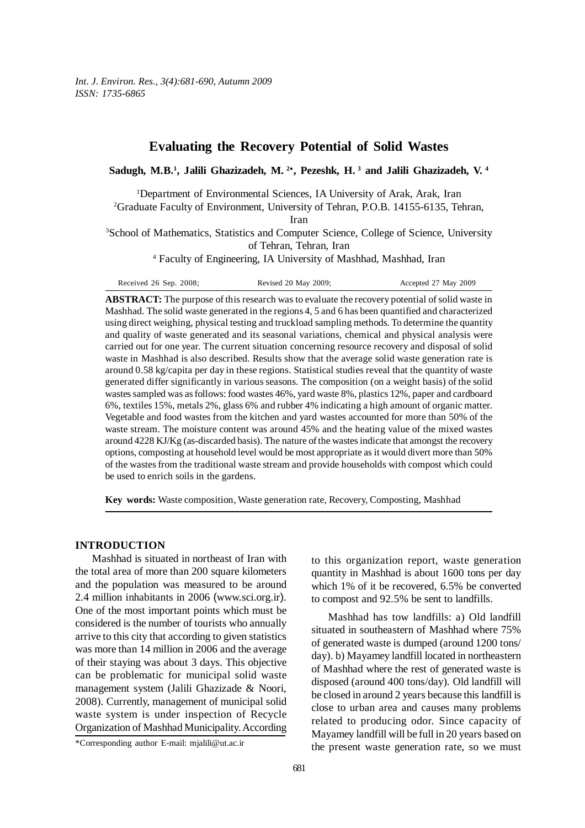# **Evaluating the Recovery Potential of Solid Wastes**

**Sadugh, M.B.1 , Jalili Ghazizadeh, M. 2**<sup>∗</sup>**, Pezeshk, H. 3 and Jalili Ghazizadeh, V. 4**

<sup>1</sup>Department of Environmental Sciences, IA University of Arak, Arak, Iran

2 Graduate Faculty of Environment, University of Tehran, P.O.B. 14155-6135, Tehran,

Iran

<sup>3</sup>School of Mathematics, Statistics and Computer Science, College of Science, University of Tehran, Tehran, Iran

4 Faculty of Engineering, IA University of Mashhad, Mashhad, Iran

| Received $26$ Sep. $2008$ ; | Revised 20 May 2009: | Accepted 27 May 2009 |
|-----------------------------|----------------------|----------------------|
|                             |                      |                      |

**ABSTRACT:** The purpose of this research was to evaluate the recovery potential of solid waste in Mashhad. The solid waste generated in the regions 4, 5 and 6 has been quantified and characterized using direct weighing, physical testing and truckload sampling methods. To determine the quantity and quality of waste generated and its seasonal variations, chemical and physical analysis were carried out for one year. The current situation concerning resource recovery and disposal of solid waste in Mashhad is also described. Results show that the average solid waste generation rate is around 0.58 kg/capita per day in these regions. Statistical studies reveal that the quantity of waste generated differ significantly in various seasons. The composition (on a weight basis) of the solid wastes sampled was as follows: food wastes 46%, yard waste 8%, plastics 12%, paper and cardboard 6%, textiles 15%, metals 2%, glass 6% and rubber 4% indicating a high amount of organic matter. Vegetable and food wastes from the kitchen and yard wastes accounted for more than 50% of the waste stream. The moisture content was around 45% and the heating value of the mixed wastes around 4228 KJ/Kg (as-discarded basis). The nature of the wastes indicate that amongst the recovery options, composting at household level would be most appropriate as it would divert more than 50% of the wastes from the traditional waste stream and provide households with compost which could be used to enrich soils in the gardens.

**Key words:** Waste composition, Waste generation rate, Recovery, Composting, Mashhad

## **INTRODUCTION**

Mashhad is situated in northeast of Iran with the total area of more than 200 square kilometers and the population was measured to be around 2.4 million inhabitants in 2006 (www.sci.org.ir). One of the most important points which must be considered is the number of tourists who annually arrive to this city that according to given statistics was more than 14 million in 2006 and the average of their staying was about 3 days. This objective can be problematic for municipal solid waste management system (Jalili Ghazizade & Noori, 2008). Currently, management of municipal solid waste system is under inspection of Recycle Organization of Mashhad Municipality. According

to this organization report, waste generation quantity in Mashhad is about 1600 tons per day which 1% of it be recovered, 6.5% be converted to compost and 92.5% be sent to landfills.

Mashhad has tow landfills: a) Old landfill situated in southeastern of Mashhad where 75% of generated waste is dumped (around 1200 tons/ day). b) Mayamey landfill located in northeastern of Mashhad where the rest of generated waste is disposed (around 400 tons/day). Old landfill will be closed in around 2 years because this landfill is close to urban area and causes many problems related to producing odor. Since capacity of Mayamey landfill will be full in 20 years based on the present waste generation rate, so we must

<sup>\*</sup>Corresponding author E-mail: mjalili@ut.ac.ir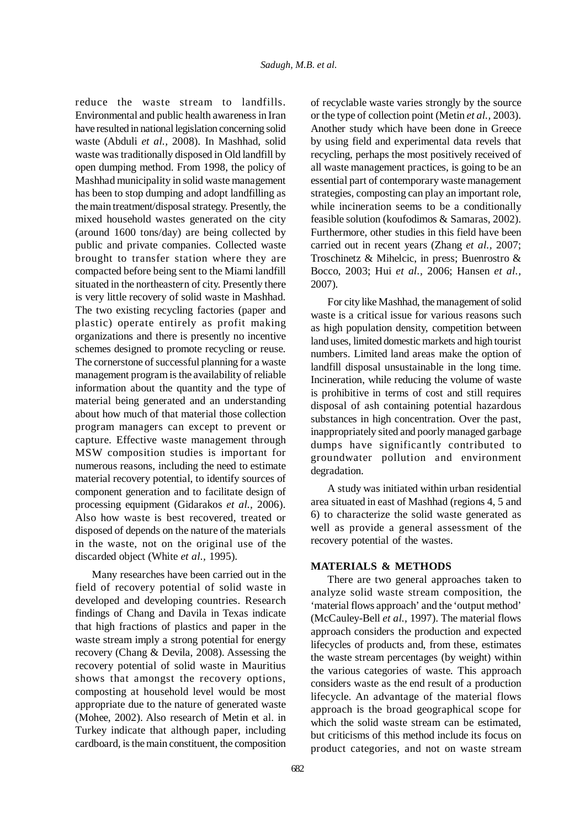reduce the waste stream to landfills. Environmental and public health awareness in Iran have resulted in national legislation concerning solid waste (Abduli *et al.,* 2008). In Mashhad, solid waste was traditionally disposed in Old landfill by open dumping method. From 1998, the policy of Mashhad municipality in solid waste management has been to stop dumping and adopt landfilling as the main treatment/disposal strategy. Presently, the mixed household wastes generated on the city (around 1600 tons/day) are being collected by public and private companies. Collected waste brought to transfer station where they are compacted before being sent to the Miami landfill situated in the northeastern of city. Presently there is very little recovery of solid waste in Mashhad. The two existing recycling factories (paper and plastic) operate entirely as profit making organizations and there is presently no incentive schemes designed to promote recycling or reuse. The cornerstone of successful planning for a waste management program is the availability of reliable information about the quantity and the type of material being generated and an understanding about how much of that material those collection program managers can except to prevent or capture. Effective waste management through MSW composition studies is important for numerous reasons, including the need to estimate material recovery potential, to identify sources of component generation and to facilitate design of processing equipment (Gidarakos *et al.,* 2006). Also how waste is best recovered, treated or disposed of depends on the nature of the materials in the waste, not on the original use of the discarded object (White *et al.,* 1995).

Many researches have been carried out in the field of recovery potential of solid waste in developed and developing countries. Research findings of Chang and Davila in Texas indicate that high fractions of plastics and paper in the waste stream imply a strong potential for energy recovery (Chang & Devila, 2008). Assessing the recovery potential of solid waste in Mauritius shows that amongst the recovery options, composting at household level would be most appropriate due to the nature of generated waste (Mohee, 2002). Also research of Metin et al. in Turkey indicate that although paper, including cardboard, is the main constituent, the composition of recyclable waste varies strongly by the source or the type of collection point (Metin *et al.,* 2003). Another study which have been done in Greece by using field and experimental data revels that recycling, perhaps the most positively received of all waste management practices, is going to be an essential part of contemporary waste management strategies, composting can play an important role, while incineration seems to be a conditionally feasible solution (koufodimos & Samaras, 2002). Furthermore, other studies in this field have been carried out in recent years (Zhang *et al.,* 2007; Troschinetz & Mihelcic, in press; Buenrostro & Bocco, 2003; Hui *et al.,* 2006; Hansen *et al.,* 2007).

For city like Mashhad, the management of solid waste is a critical issue for various reasons such as high population density, competition between land uses, limited domestic markets and high tourist numbers. Limited land areas make the option of landfill disposal unsustainable in the long time. Incineration, while reducing the volume of waste is prohibitive in terms of cost and still requires disposal of ash containing potential hazardous substances in high concentration. Over the past, inappropriately sited and poorly managed garbage dumps have significantly contributed to groundwater pollution and environment degradation.

A study was initiated within urban residential area situated in east of Mashhad (regions 4, 5 and 6) to characterize the solid waste generated as well as provide a general assessment of the recovery potential of the wastes.

## **MATERIALS & METHODS**

There are two general approaches taken to analyze solid waste stream composition, the 'material flows approach' and the 'output method' (McCauley-Bell *et al.,* 1997). The material flows approach considers the production and expected lifecycles of products and, from these, estimates the waste stream percentages (by weight) within the various categories of waste. This approach considers waste as the end result of a production lifecycle. An advantage of the material flows approach is the broad geographical scope for which the solid waste stream can be estimated, but criticisms of this method include its focus on product categories, and not on waste stream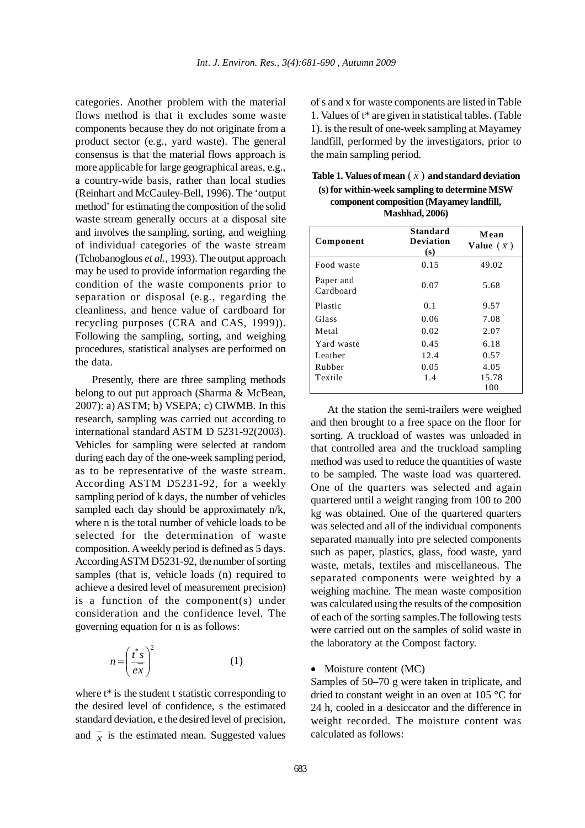categories. Another problem with the material flows method is that it excludes some waste components because they do not originate from a product sector (e.g., yard waste). The general consensus is that the material flows approach is more applicable for large geographical areas, e.g., a country-wide basis, rather than local studies (Reinhart and McCauley-Bell, 1996). The 'output method' for estimating the composition of the solid waste stream generally occurs at a disposal site and involves the sampling, sorting, and weighing of individual categories of the waste stream (Tchobanoglous *et al.,* 1993). The output approach may be used to provide information regarding the condition of the waste components prior to separation or disposal (e.g., regarding the cleanliness, and hence value of cardboard for recycling purposes (CRA and CAS, 1999)). Following the sampling, sorting, and weighing procedures, statistical analyses are performed on the data.

Presently, there are three sampling methods belong to out put approach (Sharma & McBean, 2007): a) ASTM; b) VSEPA; c) CIWMB. In this research, sampling was carried out according to international standard ASTM D 5231-92(2003). Vehicles for sampling were selected at random during each day of the one-week sampling period, as to be representative of the waste stream. According ASTM D5231-92, for a weekly sampling period of k days, the number of vehicles sampled each day should be approximately n/k, where n is the total number of vehicle loads to be selected for the determination of waste composition. A weekly period is defined as 5 days. According ASTM D5231-92, the number of sorting samples (that is, vehicle loads (n) required to achieve a desired level of measurement precision) is a function of the component(s) under consideration and the confidence level. The governing equation for n is as follows:

$$
n = \left(\frac{\dot{t}^*s}{e\bar{x}}\right)^2\tag{1}
$$

where  $t^*$  is the student t statistic corresponding to the desired level of confidence, s the estimated standard deviation, e the desired level of precision, and  $\bar{x}$  is the estimated mean. Suggested values

of s and x for waste components are listed in Table 1. Values of t\* are given in statistical tables. (Table 1). is the result of one-week sampling at Mayamey landfill, performed by the investigators, prior to the main sampling period.

| Table 1. Values of mean $(\bar{x})$ and standard deviation |
|------------------------------------------------------------|
| (s) for within-week sampling to determine MSW              |
| component composition (Mayamey landfill,                   |
| <b>Mashhad, 2006)</b>                                      |

| Component              | <b>Standard</b><br><b>Deviation</b><br>(s) | Mean<br>Value $(\bar{x})$ |
|------------------------|--------------------------------------------|---------------------------|
| Food waste             | 0.15                                       | 49.02                     |
| Paper and<br>Cardboard | 0.07                                       | 5.68                      |
| Plastic                | 0.1                                        | 9.57                      |
| Glass                  | 0.06                                       | 7.08                      |
| Metal                  | 0.02                                       | 2.07                      |
| Yard waste             | 0.45                                       | 6.18                      |
| Leather                | 12.4                                       | 0.57                      |
| Rubber                 | 0.05                                       | 4.05                      |
| Textile                | 1.4                                        | 15.78                     |
|                        |                                            | 100                       |

At the station the semi-trailers were weighed and then brought to a free space on the floor for sorting. A truckload of wastes was unloaded in that controlled area and the truckload sampling method was used to reduce the quantities of waste to be sampled. The waste load was quartered. One of the quarters was selected and again quartered until a weight ranging from 100 to 200 kg was obtained. One of the quartered quarters was selected and all of the individual components separated manually into pre selected components such as paper, plastics, glass, food waste, yard waste, metals, textiles and miscellaneous. The separated components were weighted by a weighing machine. The mean waste composition was calculated using the results of the composition of each of the sorting samples.The following tests were carried out on the samples of solid waste in the laboratory at the Compost factory.

### • Moisture content (MC)

Samples of 50–70 g were taken in triplicate, and dried to constant weight in an oven at 105 °C for 24 h, cooled in a desiccator and the difference in weight recorded. The moisture content was calculated as follows: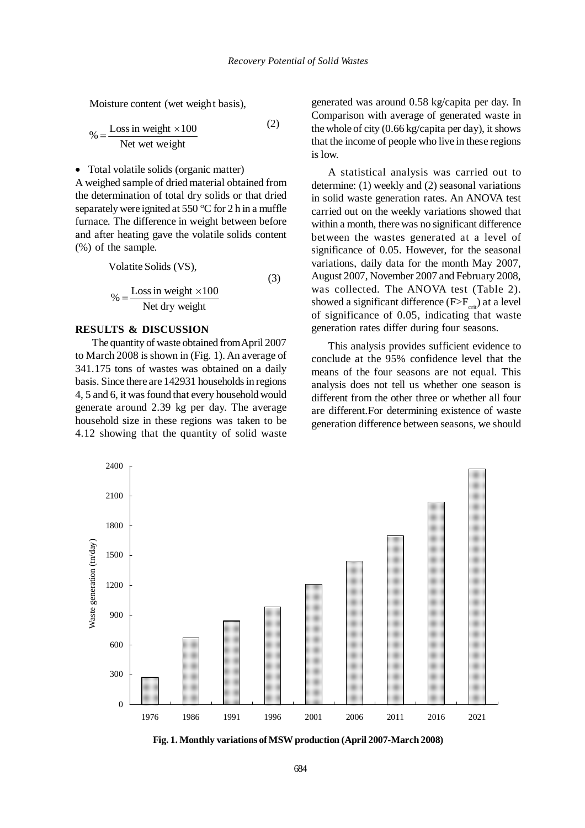Moisture content (wet weight basis),

$$
\% = \frac{\text{Loss in weight} \times 100}{\text{Net wet weight}} \tag{2}
$$

• Total volatile solids (organic matter)

A weighed sample of dried material obtained from the determination of total dry solids or that dried separately were ignited at 550 °C for 2 h in a muffle furnace. The difference in weight between before and after heating gave the volatile solids content (%) of the sample.

> (3) Net dry weight  $\% = \frac{\text{Loss in weight} \times 100}{\text{key to the total}}$ Volatite Solids (VS),

## **RESULTS & DISCUSSION**

The quantity of waste obtained from April 2007 to March 2008 is shown in (Fig. 1). An average of 341.175 tons of wastes was obtained on a daily basis. Since there are 142931 households in regions 4, 5 and 6, it was found that every household would generate around 2.39 kg per day. The average household size in these regions was taken to be 4.12 showing that the quantity of solid waste generated was around 0.58 kg/capita per day. In Comparison with average of generated waste in the whole of city (0.66 kg/capita per day), it shows that the income of people who live in these regions is low.

A statistical analysis was carried out to determine: (1) weekly and (2) seasonal variations in solid waste generation rates. An ANOVA test carried out on the weekly variations showed that within a month, there was no significant difference between the wastes generated at a level of significance of 0.05. However, for the seasonal variations, daily data for the month May 2007, August 2007, November 2007 and February 2008, was collected. The ANOVA test (Table 2). showed a significant difference  $(F>F_{crit})$  at a level of significance of 0.05, indicating that waste generation rates differ during four seasons.

This analysis provides sufficient evidence to conclude at the 95% confidence level that the means of the four seasons are not equal. This analysis does not tell us whether one season is different from the other three or whether all four are different.For determining existence of waste generation difference between seasons, we should



**Fig. 1. Monthly variations of MSW production (April 2007-March 2008)**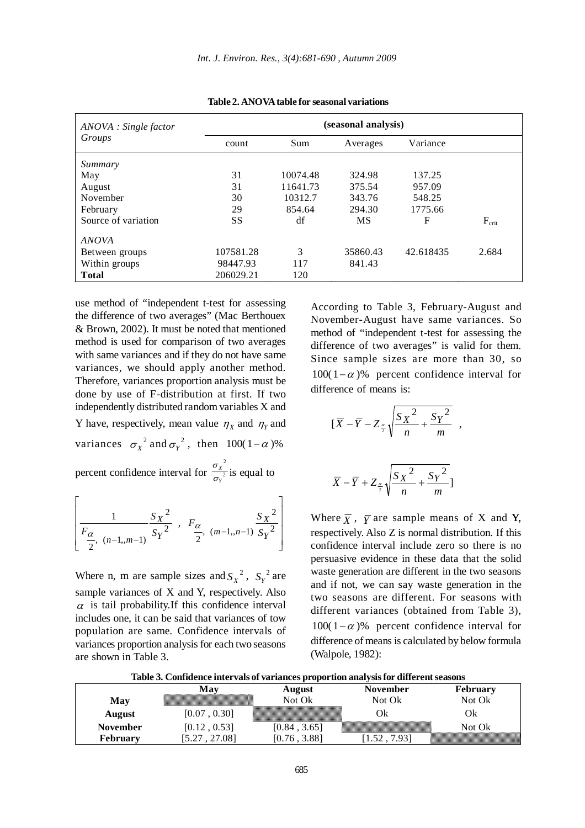| ANOVA : Single factor<br>Groups | (seasonal analysis) |          |           |           |                   |
|---------------------------------|---------------------|----------|-----------|-----------|-------------------|
|                                 | count               | Sum      | Averages  | Variance  |                   |
| Summary                         |                     |          |           |           |                   |
| May                             | 31                  | 10074.48 | 324.98    | 137.25    |                   |
| August                          | 31                  | 11641.73 | 375.54    | 957.09    |                   |
| November                        | 30                  | 10312.7  | 343.76    | 548.25    |                   |
| February                        | 29                  | 854.64   | 294.30    | 1775.66   |                   |
| Source of variation             | SS                  | df       | <b>MS</b> | F         | $F_{\text{crit}}$ |
| <b>ANOVA</b>                    |                     |          |           |           |                   |
| Between groups                  | 107581.28           | 3        | 35860.43  | 42.618435 | 2.684             |
| Within groups                   | 98447.93            | 117      | 841.43    |           |                   |
| <b>Total</b>                    | 206029.21           | 120      |           |           |                   |

**Table 2. ANOVA table for seasonal variations**

use method of "independent t-test for assessing the difference of two averages" (Mac Berthouex & Brown, 2002). It must be noted that mentioned method is used for comparison of two averages with same variances and if they do not have same variances, we should apply another method. Therefore, variances proportion analysis must be done by use of F-distribution at first. If two independently distributed random variables X and Y have, respectively, mean value  $\eta_X$  and  $\eta_Y$  and variances  $\sigma_X^2$  and  $\sigma_Y^2$ , then  $100(1-\alpha)$ % 2

percent confidence interval for  $\frac{3x}{2}$ *Y X*  $\frac{\sigma_{X}}{\sigma_{Y}}$  is equal to

$$
\left[ \frac{1}{F_{\frac{\alpha}{2}, (n-1, m-1)}} \frac{S_X^2}{S_Y^2}, F_{\frac{\alpha}{2}, (m-1, n-1)}} \frac{S_X^2}{S_Y^2} \right]
$$

Where n, m are sample sizes and  $S_X^2$ ,  $S_Y^2$  are sample variances of X and Y, respectively. Also  $\alpha$  is tail probability. If this confidence interval includes one, it can be said that variances of tow population are same. Confidence intervals of variances proportion analysis for each two seasons are shown in Table 3.

According to Table 3, February-August and November-August have same variances. So method of "independent t-test for assessing the difference of two averages" is valid for them. Since sample sizes are more than 30, so 100(1−α)% percent confidence interval for difference of means is:

$$
[\overline{X} - \overline{Y} - Z_{\frac{\alpha}{2}}\sqrt{\frac{S_X^2}{n} + \frac{S_Y^2}{m}}],
$$

$$
\overline{X} - \overline{Y} + Z_{\frac{\alpha}{2}} \sqrt{\frac{S_X^2}{n} + \frac{S_Y^2}{m}}]
$$

Where  $\overline{X}$ ,  $\overline{Y}$  are sample means of X and Y, respectively. Also Z is normal distribution. If this confidence interval include zero so there is no persuasive evidence in these data that the solid waste generation are different in the two seasons and if not, we can say waste generation in the two seasons are different. For seasons with different variances (obtained from Table 3), 100(1−α)% percent confidence interval for difference of means is calculated by below formula (Walpole, 1982):

**Table 3. Confidence intervals of variances proportion analysis for different seasons**

|                 | √Іат               | August | November                                                                                                              | February |
|-----------------|--------------------|--------|-----------------------------------------------------------------------------------------------------------------------|----------|
| May             |                    | Not Ok | Not Ok                                                                                                                | Not Ok   |
| <b>August</b>   | $0.30$ ]<br>[0.07  |        |                                                                                                                       |          |
| November        | 0.53<br>$[0.12]$ . |        | <u>in matematika kontrollisi kontrollisi kontrollisi kontrollisi kontrollisi kontrollisi kontrollisi kontrollisi </u> | Not Ok   |
| <b>February</b> |                    |        |                                                                                                                       |          |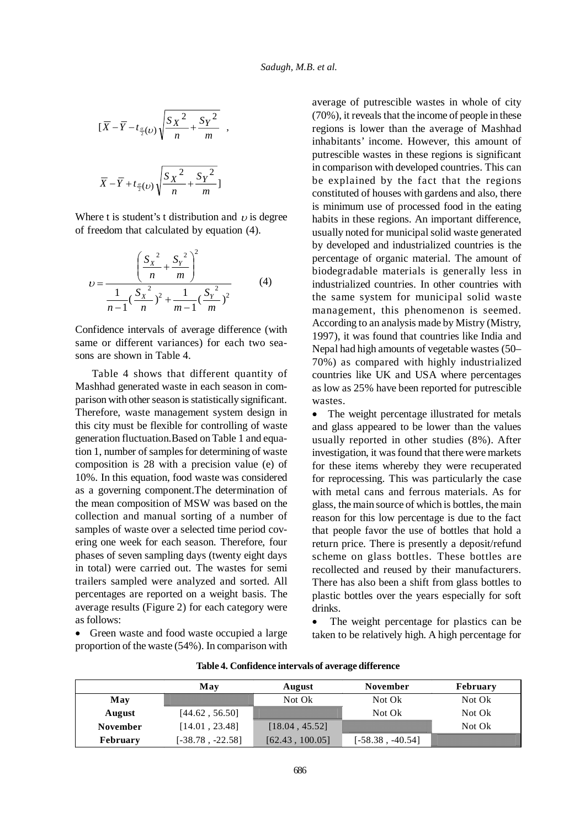$$
\left[\overline{X} - \overline{Y} - t_{\frac{\alpha}{2}(v)}\sqrt{\frac{S_X^2}{n} + \frac{S_Y^2}{m}}\right],
$$
  

$$
\overline{X} - \overline{Y} + t_{\frac{\alpha}{2}(v)}\sqrt{\frac{S_X^2}{n} + \frac{S_Y^2}{m}}]
$$

Where t is student's t distribution and  $\nu$  is degree of freedom that calculated by equation (4).

$$
v = \frac{\left(\frac{S_x^2}{n} + \frac{S_y^2}{m}\right)^2}{\frac{1}{n-1}(\frac{S_x^2}{n})^2 + \frac{1}{m-1}(\frac{S_y^2}{m})^2}
$$
(4)

Confidence intervals of average difference (with same or different variances) for each two seasons are shown in Table 4.

Table 4 shows that different quantity of Mashhad generated waste in each season in comparison with other season is statistically significant. Therefore, waste management system design in this city must be flexible for controlling of waste generation fluctuation.Based on Table 1 and equation 1, number of samples for determining of waste composition is 28 with a precision value (e) of 10%. In this equation, food waste was considered as a governing component.The determination of the mean composition of MSW was based on the collection and manual sorting of a number of samples of waste over a selected time period covering one week for each season. Therefore, four phases of seven sampling days (twenty eight days in total) were carried out. The wastes for semi trailers sampled were analyzed and sorted. All percentages are reported on a weight basis. The average results (Figure 2) for each category were as follows:

• Green waste and food waste occupied a large proportion of the waste (54%). In comparison with average of putrescible wastes in whole of city (70%), it reveals that the income of people in these regions is lower than the average of Mashhad inhabitants' income. However, this amount of putrescible wastes in these regions is significant in comparison with developed countries. This can be explained by the fact that the regions constituted of houses with gardens and also, there is minimum use of processed food in the eating habits in these regions. An important difference, usually noted for municipal solid waste generated by developed and industrialized countries is the percentage of organic material. The amount of biodegradable materials is generally less in industrialized countries. In other countries with the same system for municipal solid waste management, this phenomenon is seemed. According to an analysis made by Mistry (Mistry, 1997), it was found that countries like India and Nepal had high amounts of vegetable wastes (50– 70%) as compared with highly industrialized countries like UK and USA where percentages as low as 25% have been reported for putrescible wastes.

• The weight percentage illustrated for metals and glass appeared to be lower than the values usually reported in other studies (8%). After investigation, it was found that there were markets for these items whereby they were recuperated for reprocessing. This was particularly the case with metal cans and ferrous materials. As for glass, the main source of which is bottles, the main reason for this low percentage is due to the fact that people favor the use of bottles that hold a return price. There is presently a deposit/refund scheme on glass bottles. These bottles are recollected and reused by their manufacturers. There has also been a shift from glass bottles to plastic bottles over the years especially for soft drinks.

The weight percentage for plastics can be taken to be relatively high. A high percentage for

|                 | May                | August                 | November                 | <b>February</b> |
|-----------------|--------------------|------------------------|--------------------------|-----------------|
| May             |                    | Not Ok                 | Not Ok                   | Not Ok          |
| August          | [44.62, 56.50]     |                        | Not Ok                   | Not Ok          |
| <b>November</b> | [14.01, 23.48]     | [18.04, 45.52]         | <u> Martin Barnett (</u> | Not Ok          |
| <b>February</b> | $[-38.78, -22.58]$ | 100.051<br>$[62.43]$ . | $-40.54$<br>-58.38       |                 |

#### **Table 4. Confidence intervals of average difference**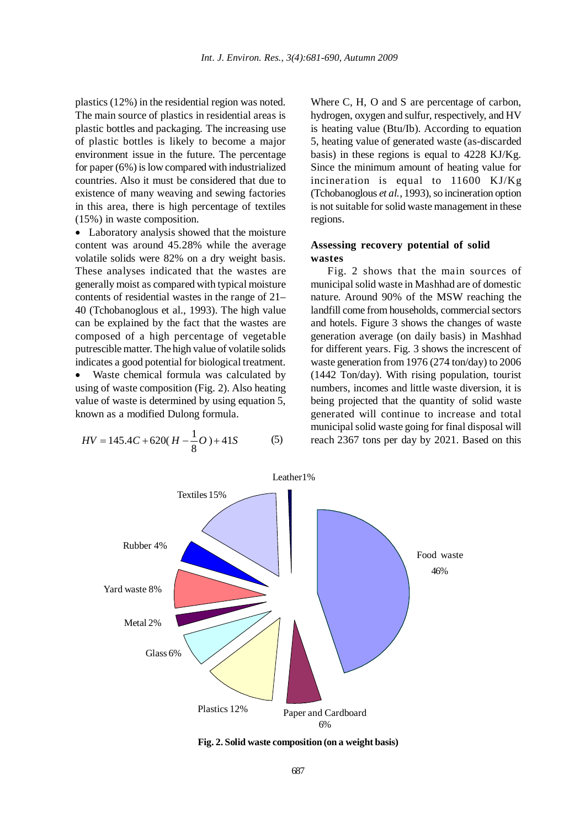plastics (12%) in the residential region was noted. The main source of plastics in residential areas is plastic bottles and packaging. The increasing use of plastic bottles is likely to become a major environment issue in the future. The percentage for paper (6%) is low compared with industrialized countries. Also it must be considered that due to existence of many weaving and sewing factories in this area, there is high percentage of textiles (15%) in waste composition.

• Laboratory analysis showed that the moisture content was around 45.28% while the average volatile solids were 82% on a dry weight basis. These analyses indicated that the wastes are generally moist as compared with typical moisture contents of residential wastes in the range of 21– 40 (Tchobanoglous et al., 1993). The high value can be explained by the fact that the wastes are composed of a high percentage of vegetable putrescible matter. The high value of volatile solids indicates a good potential for biological treatment.

Waste chemical formula was calculated by using of waste composition (Fig. 2). Also heating value of waste is determined by using equation 5, known as a modified Dulong formula.

$$
HV = 145.4C + 620(H - \frac{1}{8}O) + 41S
$$
 (5)

Where C, H, O and S are percentage of carbon, hydrogen, oxygen and sulfur, respectively, and HV is heating value (Btu/Ib). According to equation 5, heating value of generated waste (as-discarded basis) in these regions is equal to 4228 KJ/Kg. Since the minimum amount of heating value for incineration is equal to  $11600$  KJ/Kg (Tchobanoglous *et al.,* 1993), so incineration option is not suitable for solid waste management in these regions.

## **Assessing recovery potential of solid wastes**

Fig. 2 shows that the main sources of municipal solid waste in Mashhad are of domestic nature. Around 90% of the MSW reaching the landfill come from households, commercial sectors and hotels. Figure 3 shows the changes of waste generation average (on daily basis) in Mashhad for different years. Fig. 3 shows the increscent of waste generation from 1976 (274 ton/day) to 2006 (1442 Ton/day). With rising population, tourist numbers, incomes and little waste diversion, it is being projected that the quantity of solid waste generated will continue to increase and total municipal solid waste going for final disposal will reach 2367 tons per day by 2021. Based on this



**Fig. 2. Solid waste composition (on a weight basis)**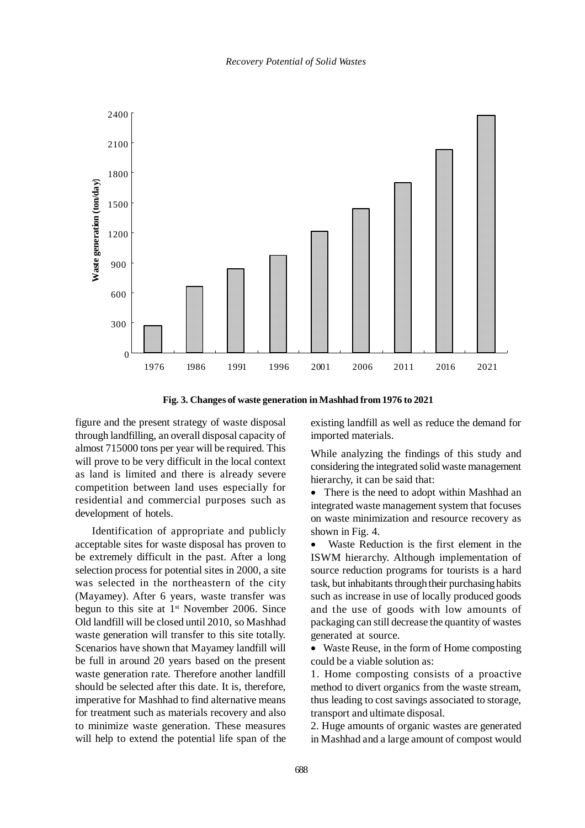



figure and the present strategy of waste disposal through landfilling, an overall disposal capacity of almost 715000 tons per year will be required. This will prove to be very difficult in the local context as land is limited and there is already severe competition between land uses especially for residential and commercial purposes such as development of hotels.

Identification of appropriate and publicly acceptable sites for waste disposal has proven to be extremely difficult in the past. After a long selection process for potential sites in 2000, a site was selected in the northeastern of the city (Mayamey). After 6 years, waste transfer was begun to this site at  $1<sup>st</sup>$  November 2006. Since Old landfill will be closed until 2010, so Mashhad waste generation will transfer to this site totally. Scenarios have shown that Mayamey landfill will be full in around 20 years based on the present waste generation rate. Therefore another landfill should be selected after this date. It is, therefore, imperative for Mashhad to find alternative means for treatment such as materials recovery and also to minimize waste generation. These measures will help to extend the potential life span of the existing landfill as well as reduce the demand for imported materials.

While analyzing the findings of this study and considering the integrated solid waste management hierarchy, it can be said that:

• There is the need to adopt within Mashhad an integrated waste management system that focuses on waste minimization and resource recovery as shown in Fig. 4.

Waste Reduction is the first element in the ISWM hierarchy. Although implementation of source reduction programs for tourists is a hard task, but inhabitants through their purchasing habits such as increase in use of locally produced goods and the use of goods with low amounts of packaging can still decrease the quantity of wastes generated at source.

• Waste Reuse, in the form of Home composting could be a viable solution as:

1. Home composting consists of a proactive method to divert organics from the waste stream, thus leading to cost savings associated to storage, transport and ultimate disposal.

2. Huge amounts of organic wastes are generated in Mashhad and a large amount of compost would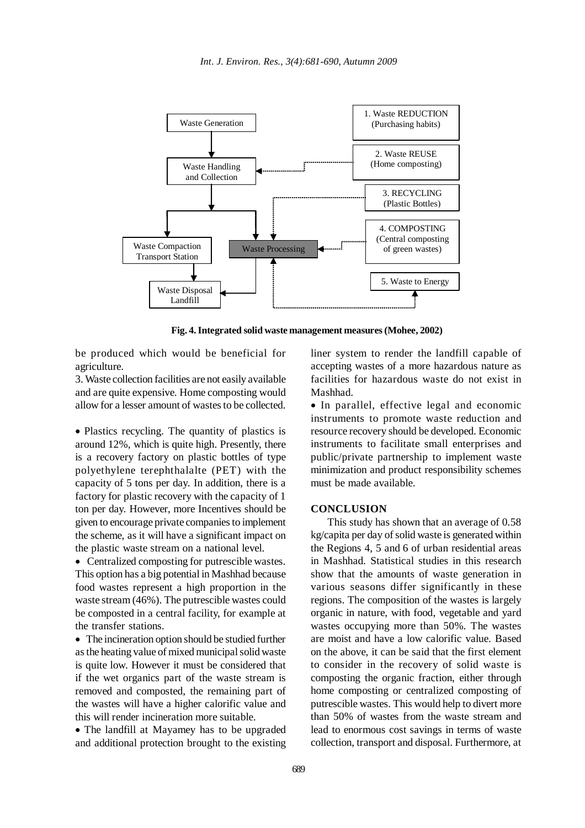

**Fig. 4. Integrated solid waste management measures (Mohee, 2002)**

be produced which would be beneficial for agriculture.

3. Waste collection facilities are not easily available and are quite expensive. Home composting would allow for a lesser amount of wastes to be collected.

• Plastics recycling. The quantity of plastics is around 12%, which is quite high. Presently, there is a recovery factory on plastic bottles of type polyethylene terephthalalte (PET) with the capacity of 5 tons per day. In addition, there is a factory for plastic recovery with the capacity of 1 ton per day. However, more Incentives should be given to encourage private companies to implement the scheme, as it will have a significant impact on the plastic waste stream on a national level.

• Centralized composting for putrescible wastes. This option has a big potential in Mashhad because food wastes represent a high proportion in the waste stream (46%). The putrescible wastes could be composted in a central facility, for example at the transfer stations.

• The incineration option should be studied further as the heating value of mixed municipal solid waste is quite low. However it must be considered that if the wet organics part of the waste stream is removed and composted, the remaining part of the wastes will have a higher calorific value and this will render incineration more suitable.

• The landfill at Mayamey has to be upgraded and additional protection brought to the existing

liner system to render the landfill capable of accepting wastes of a more hazardous nature as facilities for hazardous waste do not exist in Mashhad.

• In parallel, effective legal and economic instruments to promote waste reduction and resource recovery should be developed. Economic instruments to facilitate small enterprises and public/private partnership to implement waste minimization and product responsibility schemes must be made available.

### **CONCLUSION**

This study has shown that an average of 0.58 kg/capita per day of solid waste is generated within the Regions 4, 5 and 6 of urban residential areas in Mashhad. Statistical studies in this research show that the amounts of waste generation in various seasons differ significantly in these regions. The composition of the wastes is largely organic in nature, with food, vegetable and yard wastes occupying more than 50%. The wastes are moist and have a low calorific value. Based on the above, it can be said that the first element to consider in the recovery of solid waste is composting the organic fraction, either through home composting or centralized composting of putrescible wastes. This would help to divert more than 50% of wastes from the waste stream and lead to enormous cost savings in terms of waste collection, transport and disposal. Furthermore, at